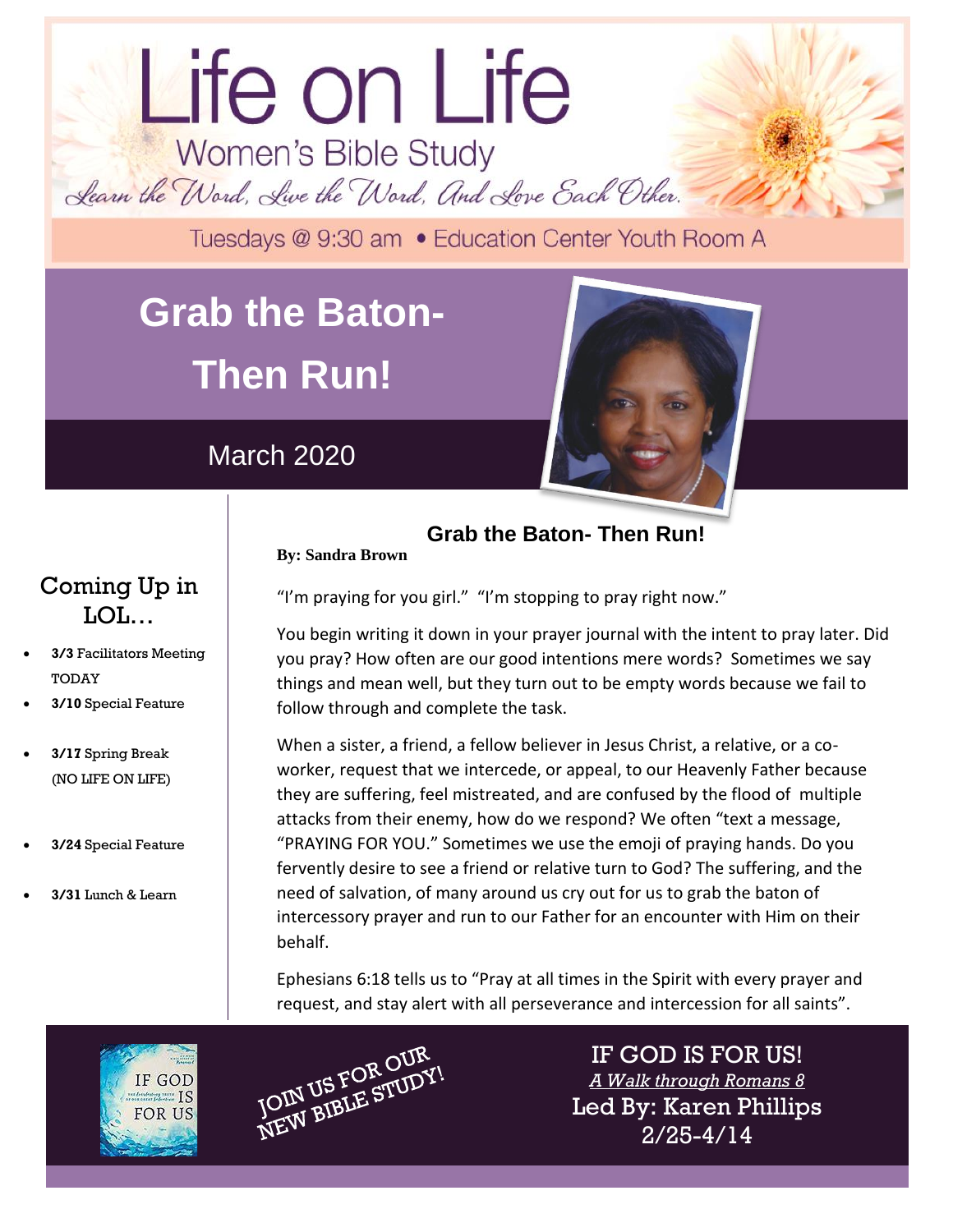# Life on Life Women's Bible Study Learn the Word, Live the Word, And Love Each Other.

Tuesdays @ 9:30 am . Education Center Youth Room A

## **Grab the Baton-Then Run!**

March 2020

**By: Sandra Brown**



dolor sit amet.

## Coming Up in LOL…

- **3/3** Facilitators Meeting TODAY
- **3/10** Special Feature
- **3/17** Spring Break (NO LIFE ON LIFE)
- **3/24** Special Feature
- **3/31** Lunch & Learn

"I'm praying for you girl." "I'm stopping to pray right now."

You begin writing it down in your prayer journal with the intent to pray later. Did you pray? How often are our good intentions mere words? Sometimes we say things and mean well, but they turn out to be empty words because we fail to follow through and complete the task.

**Grab the Baton- Then Run!**

When a sister, a friend, a fellow believer in Jesus Christ, a relative, or a coworker, request that we intercede, or appeal, to our Heavenly Father because they are suffering, feel mistreated, and are confused by the flood of multiple attacks from their enemy, how do we respond? We often "text a message, "PRAYING FOR YOU." Sometimes we use the emoji of praying hands. Do you fervently desire to see a friend or relative turn to God? The suffering, and the need of salvation, of many around us cry out for us to grab the baton of intercessory prayer and run to our Father for an encounter with Him on their behalf.

Ephesians 6:18 tells us to "Pray at all times in the Spirit with every prayer and request, and stay alert with all perseverance and intercession for all saints".

IF GOD  $\frac{1}{100}$ **FOR US** 



IF GOD IS FOR US! *A Walk through Romans 8* Led By: Karen Phillips 2/25-4/14